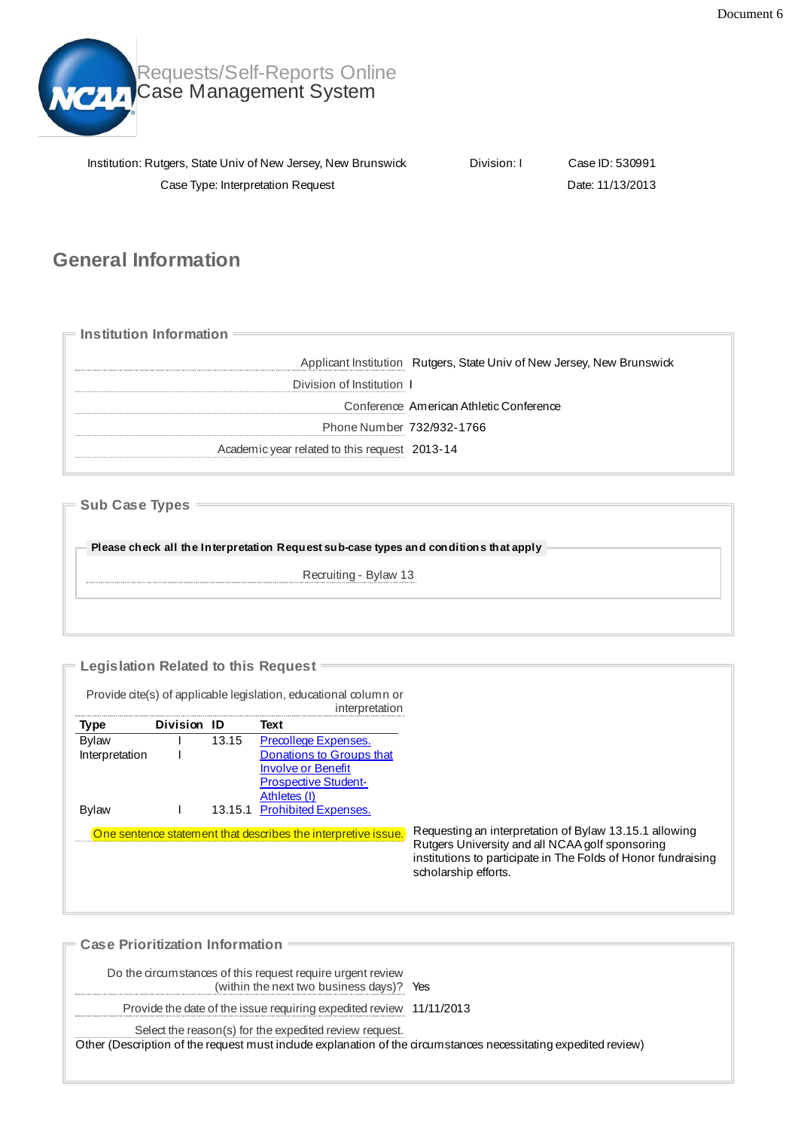

Requests/Self-Reports Online Case Management System

| Institution: Rutgers, State Univ of New Jersey, New Brunswick | Division: I | Case ID: 530991  |
|---------------------------------------------------------------|-------------|------------------|
| Case Type: Interpretation Request                             |             | Date: 11/13/2013 |

## **General Information**

**Institution Information** Applicant Institution Rutgers, State Univ of New Jersey, New Brunswick Division of Institution I Conference American Athletic Conference Phone Number 732/932-1766 Academicyear related to this request 2013-14

**Sub Case Types**

**Please check all the Interpretation Request sub-case types and conditions that apply**

Recruiting - Bylaw 13

**Legislation Related to this Request**

Provide cite(s) of applicable legislation, educational column or

|                |             |       | interpretation                                                |                                                                                                                                                                                                    |
|----------------|-------------|-------|---------------------------------------------------------------|----------------------------------------------------------------------------------------------------------------------------------------------------------------------------------------------------|
| Type           | Division ID |       | Text                                                          |                                                                                                                                                                                                    |
| <b>Bylaw</b>   |             | 13.15 | Precollege Expenses.                                          |                                                                                                                                                                                                    |
| Interpretation |             |       | Donations to Groups that                                      |                                                                                                                                                                                                    |
|                |             |       | <b>Involve or Benefit</b>                                     |                                                                                                                                                                                                    |
|                |             |       | <b>Prospective Student-</b>                                   |                                                                                                                                                                                                    |
|                |             |       | Athletes (I)                                                  |                                                                                                                                                                                                    |
| <b>Bylaw</b>   |             |       | 13.15.1 Prohibited Expenses.                                  |                                                                                                                                                                                                    |
|                |             |       | One sentence statement that describes the interpretive issue. | Requesting an interpretation of Bylaw 13.15.1 allowing<br>Rutgers University and all NCAA golf sponsoring<br>institutions to participate in The Folds of Honor fundraising<br>scholarship efforts. |
|                |             |       |                                                               |                                                                                                                                                                                                    |

**Case Prioritization Information** Do the circumstances of this request require urgent review (within the next two business days)? Yes Provide the date of the issue requiring expedited review 11/11/2013 Select the reason(s) for the expedited review request. Other (Description of the request must include explanation of the circumstances necessitating expedited review)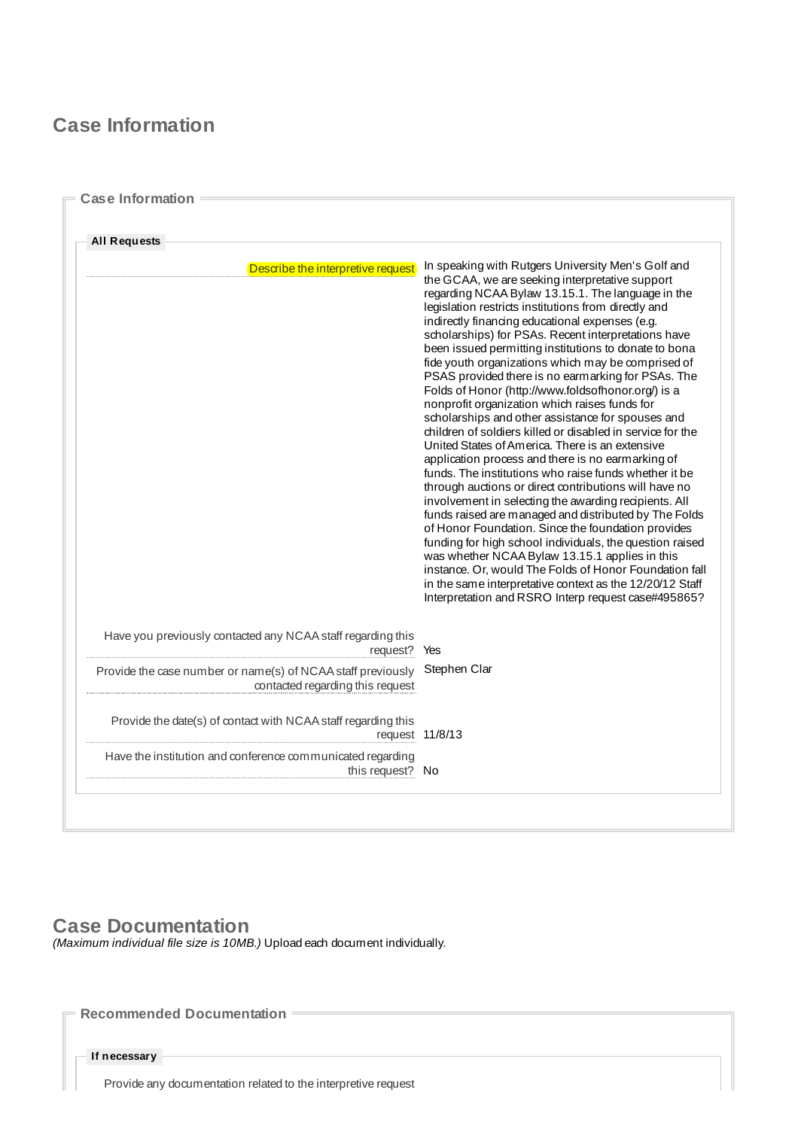## **Case Information**

| <b>All Requests</b>                                                                             |                                                                                                                                                                                                                                                                                                                                                                                                                                                                                                                                                                                                                                                                                                                                                                                                                                                                                                                                                                                                                                                                                                                                                                                                                                                                                                                                                                                                                          |  |
|-------------------------------------------------------------------------------------------------|--------------------------------------------------------------------------------------------------------------------------------------------------------------------------------------------------------------------------------------------------------------------------------------------------------------------------------------------------------------------------------------------------------------------------------------------------------------------------------------------------------------------------------------------------------------------------------------------------------------------------------------------------------------------------------------------------------------------------------------------------------------------------------------------------------------------------------------------------------------------------------------------------------------------------------------------------------------------------------------------------------------------------------------------------------------------------------------------------------------------------------------------------------------------------------------------------------------------------------------------------------------------------------------------------------------------------------------------------------------------------------------------------------------------------|--|
| Describe the interpretive request                                                               | In speaking with Rutgers University Men's Golf and<br>the GCAA, we are seeking interpretative support<br>regarding NCAA Bylaw 13.15.1. The language in the<br>legislation restricts institutions from directly and<br>indirectly financing educational expenses (e.g.<br>scholarships) for PSAs. Recent interpretations have<br>been issued permitting institutions to donate to bona<br>fide youth organizations which may be comprised of<br>PSAS provided there is no earmarking for PSAs. The<br>Folds of Honor (http://www.foldsofhonor.org/) is a<br>nonprofit organization which raises funds for<br>scholarships and other assistance for spouses and<br>children of soldiers killed or disabled in service for the<br>United States of America. There is an extensive<br>application process and there is no earmarking of<br>funds. The institutions who raise funds whether it be<br>through auctions or direct contributions will have no<br>involvement in selecting the awarding recipients. All<br>funds raised are managed and distributed by The Folds<br>of Honor Foundation. Since the foundation provides<br>funding for high school individuals, the question raised<br>was whether NCAA Bylaw 13.15.1 applies in this<br>instance. Or, would The Folds of Honor Foundation fall<br>in the same interpretative context as the 12/20/12 Staff<br>Interpretation and RSRO Interp request case#495865? |  |
| Have you previously contacted any NCAA staff regarding this<br>request?                         | Yes                                                                                                                                                                                                                                                                                                                                                                                                                                                                                                                                                                                                                                                                                                                                                                                                                                                                                                                                                                                                                                                                                                                                                                                                                                                                                                                                                                                                                      |  |
| Provide the case number or name(s) of NCAA staff previously<br>contacted regarding this request | Stephen Clar                                                                                                                                                                                                                                                                                                                                                                                                                                                                                                                                                                                                                                                                                                                                                                                                                                                                                                                                                                                                                                                                                                                                                                                                                                                                                                                                                                                                             |  |
| Provide the date(s) of contact with NCAA staff regarding this<br>request 11/8/13                |                                                                                                                                                                                                                                                                                                                                                                                                                                                                                                                                                                                                                                                                                                                                                                                                                                                                                                                                                                                                                                                                                                                                                                                                                                                                                                                                                                                                                          |  |
| Have the institution and conference communicated regarding<br>this request? No                  |                                                                                                                                                                                                                                                                                                                                                                                                                                                                                                                                                                                                                                                                                                                                                                                                                                                                                                                                                                                                                                                                                                                                                                                                                                                                                                                                                                                                                          |  |

### **Case Documentation**

*(Maximum individual file size is 10MB.)* Upload each document individually.

**Recommended Documentation**

**If necessary**

Provide any documentation related to the interpretive request